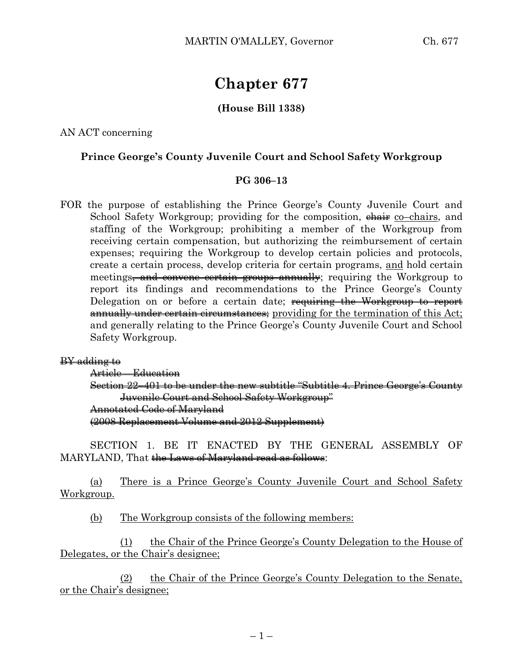# **Chapter 677**

## **(House Bill 1338)**

AN ACT concerning

### **Prince George's County Juvenile Court and School Safety Workgroup**

#### **PG 306–13**

FOR the purpose of establishing the Prince George's County Juvenile Court and School Safety Workgroup; providing for the composition,  $\theta$  examplement co–chairs, and staffing of the Workgroup; prohibiting a member of the Workgroup from receiving certain compensation, but authorizing the reimbursement of certain expenses; requiring the Workgroup to develop certain policies and protocols, create a certain process, develop criteria for certain programs, and hold certain meetings<del>, and convene certain groups annually</del>; requiring the Workgroup to report its findings and recommendations to the Prince George's County Delegation on or before a certain date; requiring the Workgroup to report annually under certain circumstances; providing for the termination of this Act; and generally relating to the Prince George's County Juvenile Court and School Safety Workgroup.

#### BY adding to

Article – Education

Section 22–401 to be under the new subtitle "Subtitle 4. Prince George's County Juvenile Court and School Safety Workgroup" Annotated Code of Maryland (2008 Replacement Volume and 2012 Supplement)

SECTION 1. BE IT ENACTED BY THE GENERAL ASSEMBLY OF MARYLAND, That the Laws of Maryland read as follows:

(a) There is a Prince George's County Juvenile Court and School Safety Workgroup.

(b) The Workgroup consists of the following members:

(1) the Chair of the Prince George's County Delegation to the House of Delegates, or the Chair's designee;

(2) the Chair of the Prince George's County Delegation to the Senate, or the Chair's designee;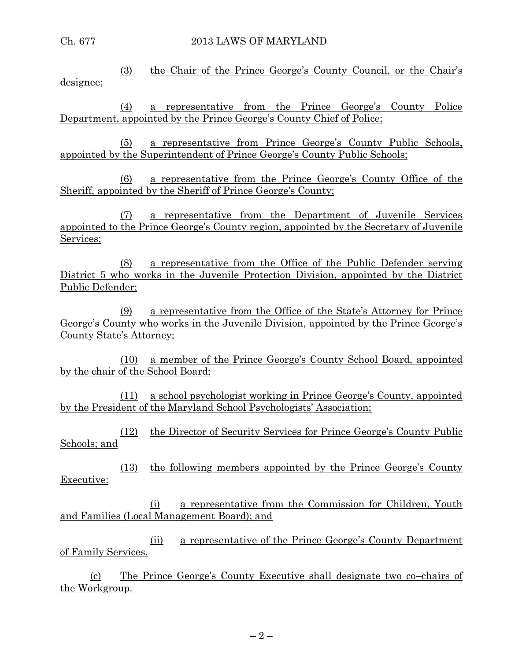(3) the Chair of the Prince George's County Council, or the Chair's designee;

(4) a representative from the Prince George's County Police Department, appointed by the Prince George's County Chief of Police;

(5) a representative from Prince George's County Public Schools, appointed by the Superintendent of Prince George's County Public Schools;

(6) a representative from the Prince George's County Office of the Sheriff, appointed by the Sheriff of Prince George's County;

(7) a representative from the Department of Juvenile Services appointed to the Prince George's County region, appointed by the Secretary of Juvenile Services;

(8) a representative from the Office of the Public Defender serving District 5 who works in the Juvenile Protection Division, appointed by the District Public Defender;

(9) a representative from the Office of the State's Attorney for Prince George's County who works in the Juvenile Division, appointed by the Prince George's County State's Attorney;

(10) a member of the Prince George's County School Board, appointed by the chair of the School Board;

(11) a school psychologist working in Prince George's County, appointed by the President of the Maryland School Psychologists' Association;

(12) the Director of Security Services for Prince George's County Public Schools; and

(13) the following members appointed by the Prince George's County Executive:

(i) a representative from the Commission for Children, Youth and Families (Local Management Board); and

(ii) a representative of the Prince George's County Department of Family Services.

(c) The Prince George's County Executive shall designate two co–chairs of the Workgroup.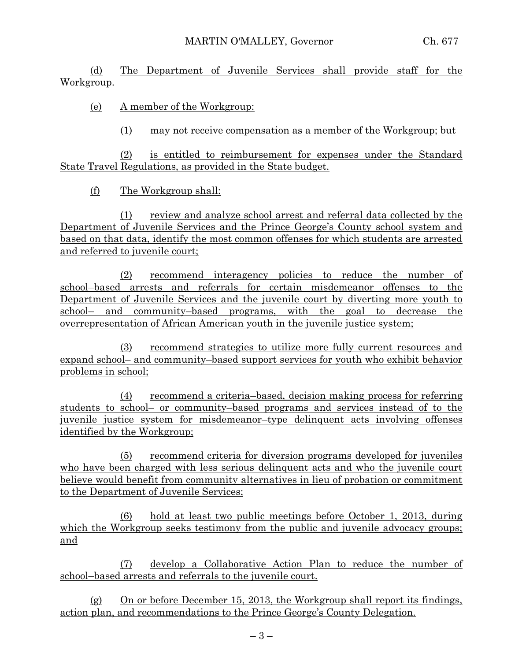(d) The Department of Juvenile Services shall provide staff for the Workgroup.

(e) A member of the Workgroup:

(1) may not receive compensation as a member of the Workgroup; but

(2) is entitled to reimbursement for expenses under the Standard State Travel Regulations, as provided in the State budget.

(f) The Workgroup shall:

(1) review and analyze school arrest and referral data collected by the Department of Juvenile Services and the Prince George's County school system and based on that data, identify the most common offenses for which students are arrested and referred to juvenile court;

(2) recommend interagency policies to reduce the number of school–based arrests and referrals for certain misdemeanor offenses to the Department of Juvenile Services and the juvenile court by diverting more youth to school– and community–based programs, with the goal to decrease the overrepresentation of African American youth in the juvenile justice system;

(3) recommend strategies to utilize more fully current resources and expand school– and community–based support services for youth who exhibit behavior problems in school;

(4) recommend a criteria–based, decision making process for referring students to school– or community–based programs and services instead of to the juvenile justice system for misdemeanor–type delinquent acts involving offenses identified by the Workgroup;

(5) recommend criteria for diversion programs developed for juveniles who have been charged with less serious delinquent acts and who the juvenile court believe would benefit from community alternatives in lieu of probation or commitment to the Department of Juvenile Services;

(6) hold at least two public meetings before October 1, 2013, during which the Workgroup seeks testimony from the public and juvenile advocacy groups; and

(7) develop a Collaborative Action Plan to reduce the number of school–based arrests and referrals to the juvenile court.

(g) On or before December 15, 2013, the Workgroup shall report its findings, action plan, and recommendations to the Prince George's County Delegation.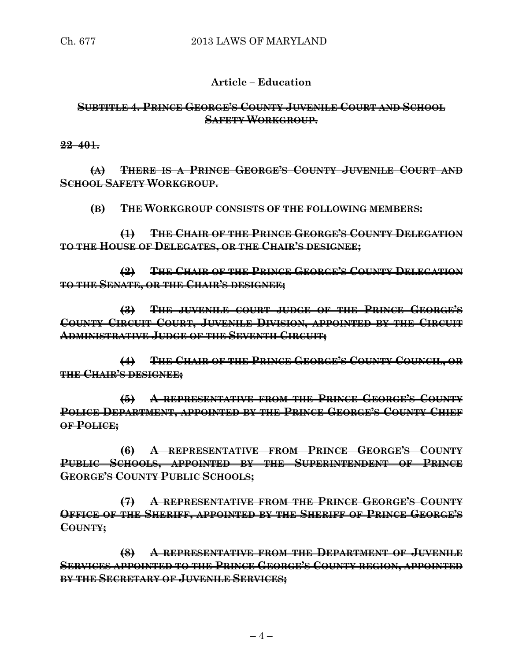### **Article – Education**

# **SUBTITLE 4. PRINCE GEORGE'S COUNTY JUVENILE COURT AND SCHOOL SAFETY WORKGROUP.**

**22–401.**

**(A) THERE IS A PRINCE GEORGE'S COUNTY JUVENILE COURT AND SCHOOL SAFETY WORKGROUP.**

**(B) THE WORKGROUP CONSISTS OF THE FOLLOWING MEMBERS:**

**(1) THE CHAIR OF THE PRINCE GEORGE'S COUNTY DELEGATION TO THE HOUSE OF DELEGATES, OR THE CHAIR'S DESIGNEE;**

**(2) THE CHAIR OF THE PRINCE GEORGE'S COUNTY DELEGATION TO THE SENATE, OR THE CHAIR'S DESIGNEE;**

**(3) THE JUVENILE COURT JUDGE OF THE PRINCE GEORGE'S COUNTY CIRCUIT COURT, JUVENILE DIVISION, APPOINTED BY THE CIRCUIT ADMINISTRATIVE JUDGE OF THE SEVENTH CIRCUIT;**

**(4) THE CHAIR OF THE PRINCE GEORGE'S COUNTY COUNCIL, OR THE CHAIR'S DESIGNEE;**

**(5) A REPRESENTATIVE FROM THE PRINCE GEORGE'S COUNTY POLICE DEPARTMENT, APPOINTED BY THE PRINCE GEORGE'S COUNTY CHIEF OF POLICE;**

**(6) A REPRESENTATIVE FROM PRINCE GEORGE'S COUNTY PUBLIC SCHOOLS, APPOINTED BY THE SUPERINTENDENT OF PRINCE GEORGE'S COUNTY PUBLIC SCHOOLS;**

**(7) A REPRESENTATIVE FROM THE PRINCE GEORGE'S COUNTY OFFICE OF THE SHERIFF, APPOINTED BY THE SHERIFF OF PRINCE GEORGE'S COUNTY;**

**(8) A REPRESENTATIVE FROM THE DEPARTMENT OF JUVENILE SERVICES APPOINTED TO THE PRINCE GEORGE'S COUNTY REGION, APPOINTED BY THE SECRETARY OF JUVENILE SERVICES;**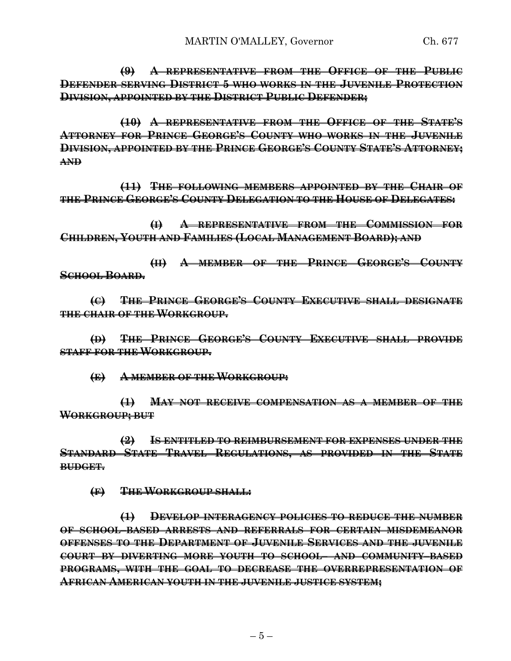**(9) A REPRESENTATIVE FROM THE OFFICE OF THE PUBLIC DEFENDER SERVING DISTRICT 5 WHO WORKS IN THE JUVENILE PROTECTION DIVISION, APPOINTED BY THE DISTRICT PUBLIC DEFENDER;**

**(10) A REPRESENTATIVE FROM THE OFFICE OF THE STATE'S ATTORNEY FOR PRINCE GEORGE'S COUNTY WHO WORKS IN THE JUVENILE DIVISION, APPOINTED BY THE PRINCE GEORGE'S COUNTY STATE'S ATTORNEY; AND**

**(11) THE FOLLOWING MEMBERS APPOINTED BY THE CHAIR OF THE PRINCE GEORGE'S COUNTY DELEGATION TO THE HOUSE OF DELEGATES:**

**(I) A REPRESENTATIVE FROM THE COMMISSION FOR CHILDREN, YOUTH AND FAMILIES (LOCAL MANAGEMENT BOARD); AND**

**(II) A MEMBER OF THE PRINCE GEORGE'S COUNTY SCHOOL BOARD.**

**(C) THE PRINCE GEORGE'S COUNTY EXECUTIVE SHALL DESIGNATE THE CHAIR OF THE WORKGROUP.**

**(D) THE PRINCE GEORGE'S COUNTY EXECUTIVE SHALL PROVIDE STAFF FOR THE WORKGROUP.**

**(E) A MEMBER OF THE WORKGROUP:**

**(1) MAY NOT RECEIVE COMPENSATION AS A MEMBER OF THE WORKGROUP; BUT**

**(2) IS ENTITLED TO REIMBURSEMENT FOR EXPENSES UNDER THE STANDARD STATE TRAVEL REGULATIONS, AS PROVIDED IN THE STATE BUDGET.**

**(F) THE WORKGROUP SHALL:**

**(1) DEVELOP INTERAGENCY POLICIES TO REDUCE THE NUMBER OF SCHOOL–BASED ARRESTS AND REFERRALS FOR CERTAIN MISDEMEANOR OFFENSES TO THE DEPARTMENT OF JUVENILE SERVICES AND THE JUVENILE COURT BY DIVERTING MORE YOUTH TO SCHOOL– AND COMMUNITY–BASED PROGRAMS, WITH THE GOAL TO DECREASE THE OVERREPRESENTATION OF AFRICAN AMERICAN YOUTH IN THE JUVENILE JUSTICE SYSTEM;**